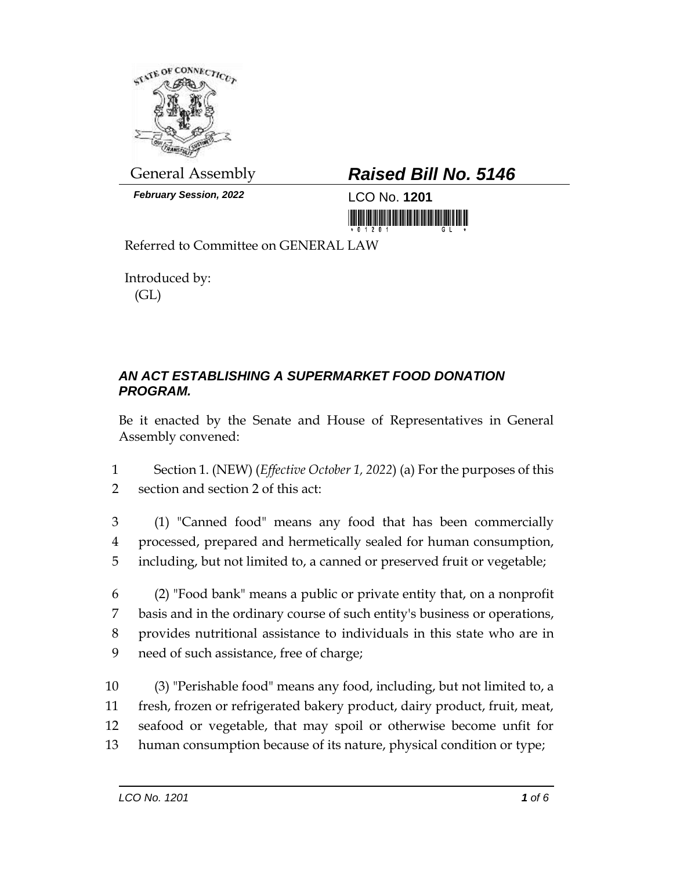

*February Session, 2022* LCO No. **1201**

## General Assembly *Raised Bill No. 5146*

<u> III maarta ka mid maaraa ka mid maaraa maaraa maa</u>

Referred to Committee on GENERAL LAW

Introduced by: (GL)

## *AN ACT ESTABLISHING A SUPERMARKET FOOD DONATION PROGRAM.*

Be it enacted by the Senate and House of Representatives in General Assembly convened:

1 Section 1. (NEW) (*Effective October 1, 2022*) (a) For the purposes of this 2 section and section 2 of this act:

3 (1) "Canned food" means any food that has been commercially 4 processed, prepared and hermetically sealed for human consumption, 5 including, but not limited to, a canned or preserved fruit or vegetable;

 (2) "Food bank" means a public or private entity that, on a nonprofit basis and in the ordinary course of such entity's business or operations, provides nutritional assistance to individuals in this state who are in need of such assistance, free of charge;

 (3) "Perishable food" means any food, including, but not limited to, a fresh, frozen or refrigerated bakery product, dairy product, fruit, meat, seafood or vegetable, that may spoil or otherwise become unfit for human consumption because of its nature, physical condition or type;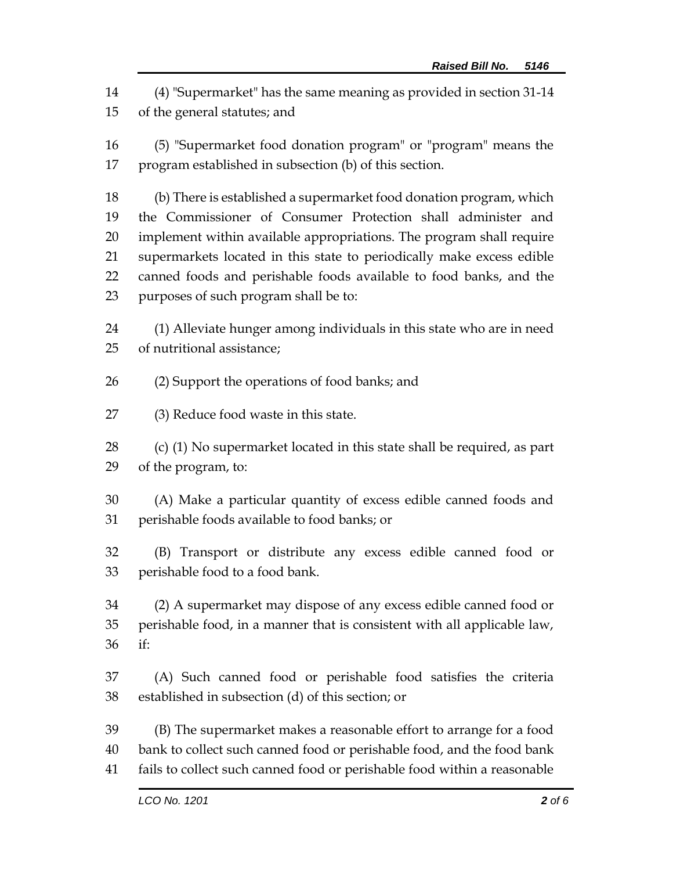(4) "Supermarket" has the same meaning as provided in section 31-14 of the general statutes; and

 (5) "Supermarket food donation program" or "program" means the program established in subsection (b) of this section.

 (b) There is established a supermarket food donation program, which the Commissioner of Consumer Protection shall administer and implement within available appropriations. The program shall require supermarkets located in this state to periodically make excess edible canned foods and perishable foods available to food banks, and the purposes of such program shall be to:

 (1) Alleviate hunger among individuals in this state who are in need of nutritional assistance;

- (2) Support the operations of food banks; and
- (3) Reduce food waste in this state.

 (c) (1) No supermarket located in this state shall be required, as part of the program, to:

 (A) Make a particular quantity of excess edible canned foods and perishable foods available to food banks; or

 (B) Transport or distribute any excess edible canned food or perishable food to a food bank.

 (2) A supermarket may dispose of any excess edible canned food or perishable food, in a manner that is consistent with all applicable law, if:

 (A) Such canned food or perishable food satisfies the criteria established in subsection (d) of this section; or

 (B) The supermarket makes a reasonable effort to arrange for a food bank to collect such canned food or perishable food, and the food bank fails to collect such canned food or perishable food within a reasonable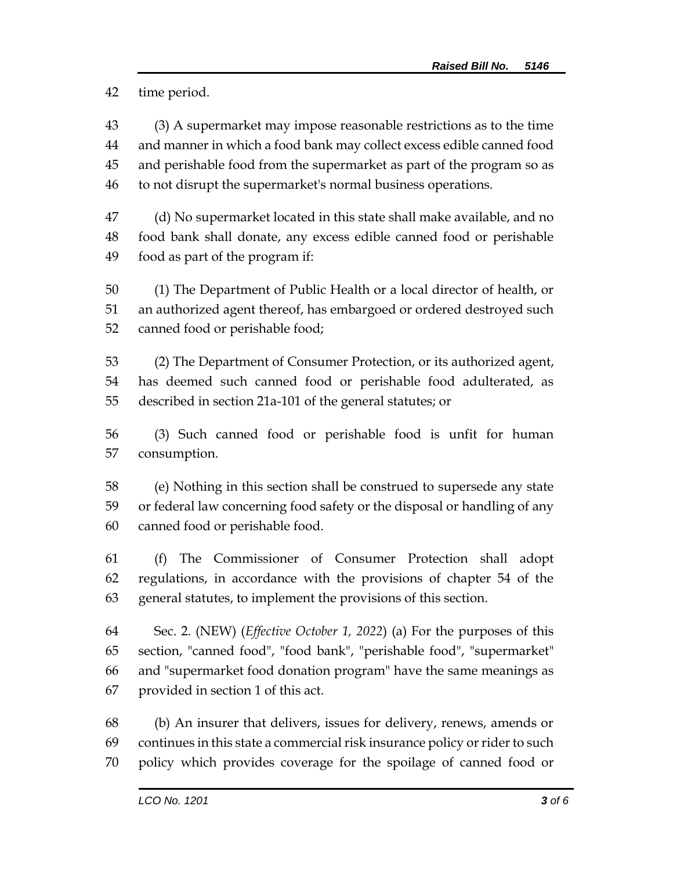time period.

 (3) A supermarket may impose reasonable restrictions as to the time and manner in which a food bank may collect excess edible canned food and perishable food from the supermarket as part of the program so as to not disrupt the supermarket's normal business operations.

 (d) No supermarket located in this state shall make available, and no food bank shall donate, any excess edible canned food or perishable food as part of the program if:

 (1) The Department of Public Health or a local director of health, or an authorized agent thereof, has embargoed or ordered destroyed such canned food or perishable food;

 (2) The Department of Consumer Protection, or its authorized agent, has deemed such canned food or perishable food adulterated, as described in section 21a-101 of the general statutes; or

 (3) Such canned food or perishable food is unfit for human consumption.

 (e) Nothing in this section shall be construed to supersede any state or federal law concerning food safety or the disposal or handling of any canned food or perishable food.

 (f) The Commissioner of Consumer Protection shall adopt regulations, in accordance with the provisions of chapter 54 of the general statutes, to implement the provisions of this section.

 Sec. 2. (NEW) (*Effective October 1, 2022*) (a) For the purposes of this section, "canned food", "food bank", "perishable food", "supermarket" and "supermarket food donation program" have the same meanings as provided in section 1 of this act.

 (b) An insurer that delivers, issues for delivery, renews, amends or continues in this state a commercial risk insurance policy or rider to such policy which provides coverage for the spoilage of canned food or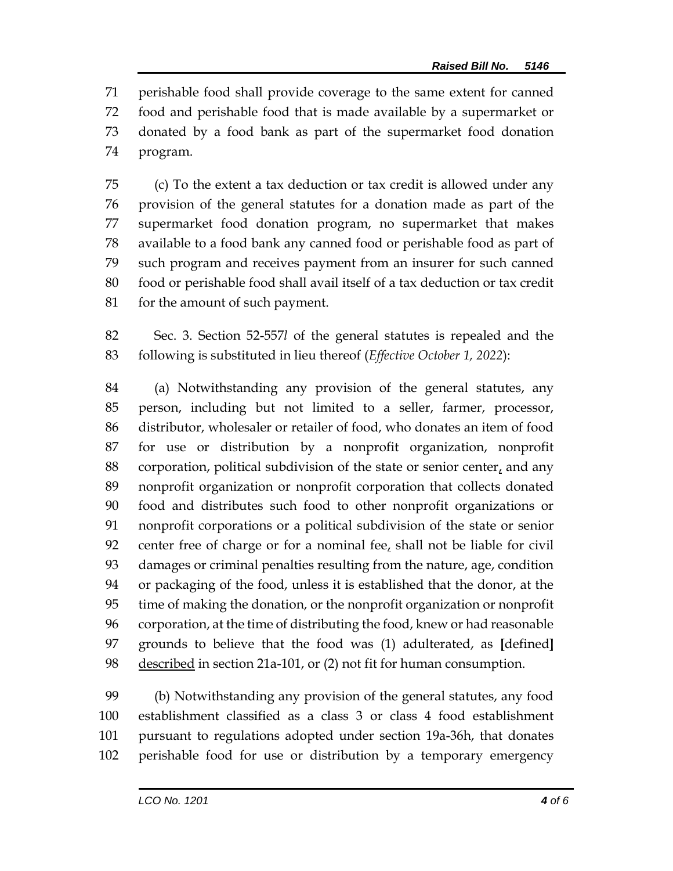perishable food shall provide coverage to the same extent for canned food and perishable food that is made available by a supermarket or donated by a food bank as part of the supermarket food donation program.

 (c) To the extent a tax deduction or tax credit is allowed under any provision of the general statutes for a donation made as part of the supermarket food donation program, no supermarket that makes available to a food bank any canned food or perishable food as part of such program and receives payment from an insurer for such canned food or perishable food shall avail itself of a tax deduction or tax credit for the amount of such payment.

 Sec. 3. Section 52-557*l* of the general statutes is repealed and the following is substituted in lieu thereof (*Effective October 1, 2022*):

 (a) Notwithstanding any provision of the general statutes, any person, including but not limited to a seller, farmer, processor, distributor, wholesaler or retailer of food, who donates an item of food for use or distribution by a nonprofit organization, nonprofit corporation, political subdivision of the state or senior center, and any nonprofit organization or nonprofit corporation that collects donated food and distributes such food to other nonprofit organizations or nonprofit corporations or a political subdivision of the state or senior 92 center free of charge or for a nominal fee, shall not be liable for civil damages or criminal penalties resulting from the nature, age, condition or packaging of the food, unless it is established that the donor, at the time of making the donation, or the nonprofit organization or nonprofit corporation, at the time of distributing the food, knew or had reasonable grounds to believe that the food was (1) adulterated, as **[**defined**]** 98 described in section 21a-101, or (2) not fit for human consumption.

 (b) Notwithstanding any provision of the general statutes, any food establishment classified as a class 3 or class 4 food establishment pursuant to regulations adopted under section 19a-36h, that donates perishable food for use or distribution by a temporary emergency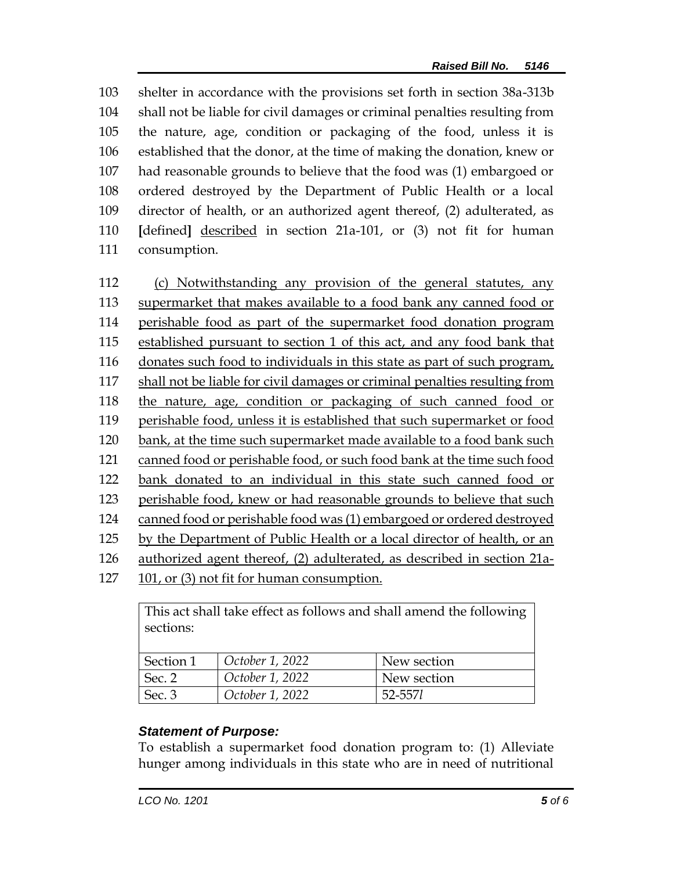shelter in accordance with the provisions set forth in section 38a-313b shall not be liable for civil damages or criminal penalties resulting from the nature, age, condition or packaging of the food, unless it is established that the donor, at the time of making the donation, knew or had reasonable grounds to believe that the food was (1) embargoed or ordered destroyed by the Department of Public Health or a local director of health, or an authorized agent thereof, (2) adulterated, as **[**defined**]** described in section 21a-101, or (3) not fit for human consumption.

 (c) Notwithstanding any provision of the general statutes, any supermarket that makes available to a food bank any canned food or perishable food as part of the supermarket food donation program established pursuant to section 1 of this act, and any food bank that donates such food to individuals in this state as part of such program, shall not be liable for civil damages or criminal penalties resulting from the nature, age, condition or packaging of such canned food or perishable food, unless it is established that such supermarket or food bank, at the time such supermarket made available to a food bank such canned food or perishable food, or such food bank at the time such food bank donated to an individual in this state such canned food or 123 perishable food, knew or had reasonable grounds to believe that such canned food or perishable food was (1) embargoed or ordered destroyed by the Department of Public Health or a local director of health, or an authorized agent thereof, (2) adulterated, as described in section 21a-101, or (3) not fit for human consumption.

| This act shall take effect as follows and shall amend the following<br>sections: |                 |             |
|----------------------------------------------------------------------------------|-----------------|-------------|
|                                                                                  |                 |             |
| Section 1                                                                        | October 1, 2022 | New section |
| Sec. 2                                                                           | October 1, 2022 | New section |
| Sec. 3                                                                           | October 1, 2022 | 52-5571     |

## *Statement of Purpose:*

To establish a supermarket food donation program to: (1) Alleviate hunger among individuals in this state who are in need of nutritional